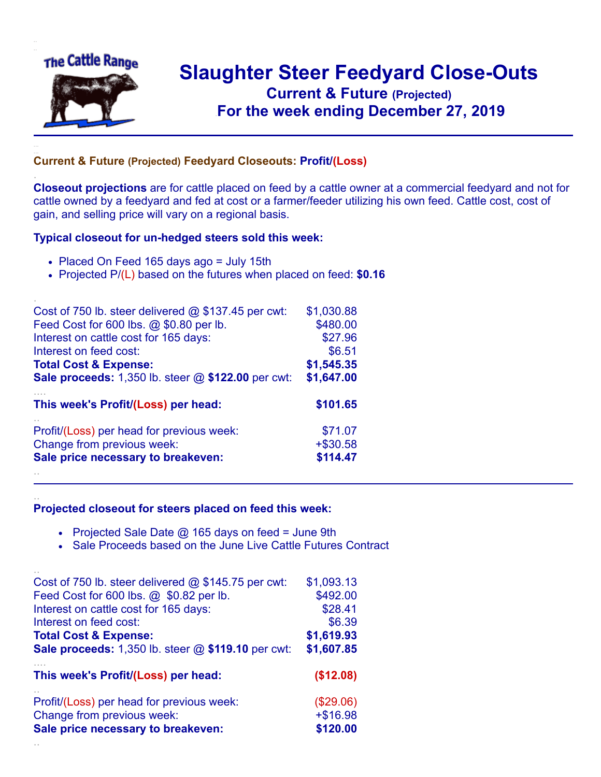

.

..

## **Slaughter Steer Feedyard Close-Outs Current & Future (Projected)** .**For the week ending December 27, 2019**

## **Current & Future (Projected) Feedyard Closeouts: Profit/(Loss)**

**Closeout projections** are for cattle placed on feed by a cattle owner at a commercial feedyard and not for cattle owned by a feedyard and fed at cost or a farmer/feeder utilizing his own feed. Cattle cost, cost of gain, and selling price will vary on a regional basis.

## **Typical closeout for un-hedged steers sold this week:**

- Placed On Feed 165 days ago = July 15th
- Projected P/(L) based on the futures when placed on feed: **\$0.16**

| Cost of 750 lb. steer delivered $@$ \$137.45 per cwt:     | \$1,030.88  |
|-----------------------------------------------------------|-------------|
| Feed Cost for 600 lbs. @ \$0.80 per lb.                   | \$480.00    |
| Interest on cattle cost for 165 days:                     | \$27.96     |
| Interest on feed cost:                                    | \$6.51      |
| <b>Total Cost &amp; Expense:</b>                          | \$1,545.35  |
| <b>Sale proceeds:</b> 1,350 lb. steer @ \$122.00 per cwt: | \$1,647.00  |
| This week's Profit/(Loss) per head:                       | \$101.65    |
| Profit/(Loss) per head for previous week:                 | \$71.07     |
| Change from previous week:                                | $+$ \$30.58 |
| Sale price necessary to breakeven:                        | \$114.47    |
|                                                           |             |

## **Projected closeout for steers placed on feed this week:**

- Projected Sale Date  $@$  165 days on feed = June 9th
- Sale Proceeds based on the June Live Cattle Futures Contract

| Cost of 750 lb. steer delivered $@$ \$145.75 per cwt:       | \$1,093.13 |
|-------------------------------------------------------------|------------|
| Feed Cost for 600 lbs. @ \$0.82 per lb.                     | \$492.00   |
| Interest on cattle cost for 165 days:                       | \$28.41    |
| Interest on feed cost:                                      | \$6.39     |
| <b>Total Cost &amp; Expense:</b>                            | \$1,619.93 |
| <b>Sale proceeds:</b> 1,350 lb. steer $@$ \$119.10 per cwt: | \$1,607.85 |
| This week's Profit/(Loss) per head:                         | (\$12.08)  |
| Profit/(Loss) per head for previous week:                   | (\$29.06)  |
| Change from previous week:                                  | $+ $16.98$ |
| Sale price necessary to breakeven:                          | \$120.00   |
|                                                             |            |